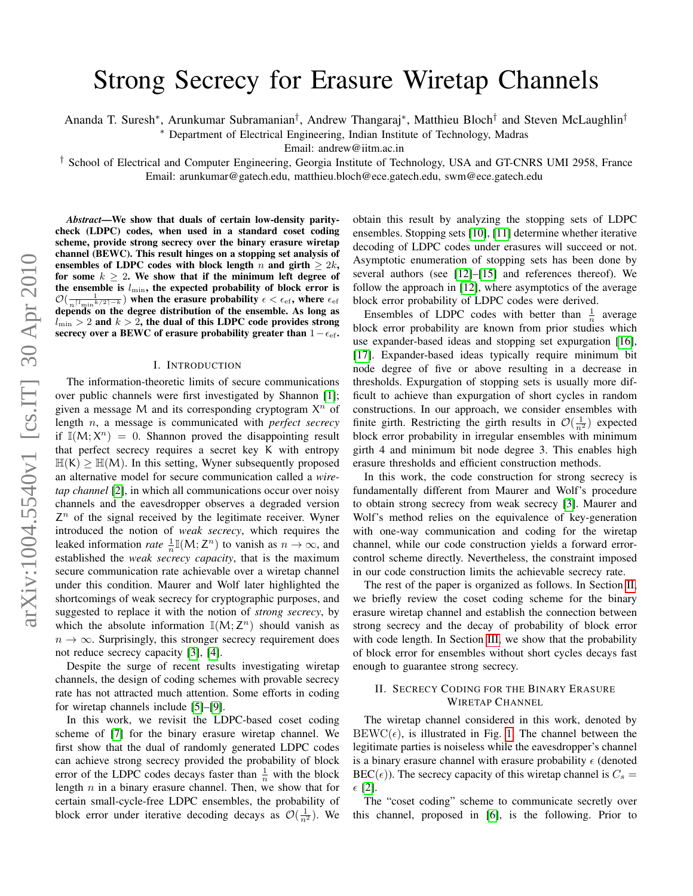# Strong Secrecy for Erasure Wiretap Channels

Ananda T. Suresh<sup>\*</sup>, Arunkumar Subramanian<sup>†</sup>, Andrew Thangaraj<sup>\*</sup>, Matthieu Bloch<sup>†</sup> and Steven McLaughlin<sup>†</sup>

<sup>∗</sup> Department of Electrical Engineering, Indian Institute of Technology, Madras

Email: andrew@iitm.ac.in

† School of Electrical and Computer Engineering, Georgia Institute of Technology, USA and GT-CNRS UMI 2958, France Email: arunkumar@gatech.edu, matthieu.bloch@ece.gatech.edu, swm@ece.gatech.edu

*Abstract*—We show that duals of certain low-density paritycheck (LDPC) codes, when used in a standard coset coding scheme, provide strong secrecy over the binary erasure wiretap channel (BEWC). This result hinges on a stopping set analysis of ensembles of LDPC codes with block length n and girth  $\geq 2k$ , for some  $k \geq 2$ . We show that if the minimum left degree of the ensemble is  $l_{\min}$ , the expected probability of block error is  $\mathcal{O}(\mathcal{O})$  $\frac{1}{\lceil l_{\min}k/2\rceil-k}$ ) when the erasure probability  $\epsilon < \epsilon_{\rm ef}$ , where  $\epsilon_{\rm ef}$ depends on the degree distribution of the ensemble. As long as  $l_{\min} > 2$  and  $k > 2$ , the dual of this LDPC code provides strong secrecy over a BEWC of erasure probability greater than  $1-\epsilon_{\text{ef}}$ .

#### I. INTRODUCTION

The information-theoretic limits of secure communications over public channels were first investigated by Shannon [\[1\]](#page-4-0); given a message M and its corresponding cryptogram  $X^n$  of length n, a message is communicated with *perfect secrecy* if  $\mathbb{I}(M; X^n) = 0$ . Shannon proved the disappointing result that perfect secrecy requires a secret key K with entropy  $\mathbb{H}(\mathsf{K}) \geq \mathbb{H}(\mathsf{M})$ . In this setting, Wyner subsequently proposed an alternative model for secure communication called a *wiretap channel* [\[2\]](#page-4-1), in which all communications occur over noisy channels and the eavesdropper observes a degraded version  $Z<sup>n</sup>$  of the signal received by the legitimate receiver. Wyner introduced the notion of *weak secrecy*, which requires the leaked information *rate*  $\frac{1}{n} \mathbb{I}(M; Z^n)$  to vanish as  $n \to \infty$ , and established the *weak secrecy capacity*, that is the maximum secure communication rate achievable over a wiretap channel under this condition. Maurer and Wolf later highlighted the shortcomings of weak secrecy for cryptographic purposes, and suggested to replace it with the notion of *strong secrecy*, by which the absolute information  $\mathbb{I}(M; Z^n)$  should vanish as  $n \to \infty$ . Surprisingly, this stronger secrecy requirement does not reduce secrecy capacity [\[3\]](#page-4-2), [\[4\]](#page-4-3).

Despite the surge of recent results investigating wiretap channels, the design of coding schemes with provable secrecy rate has not attracted much attention. Some efforts in coding for wiretap channels include [\[5\]](#page-4-4)–[\[9\]](#page-4-5).

In this work, we revisit the LDPC-based coset coding scheme of [\[7\]](#page-4-6) for the binary erasure wiretap channel. We first show that the dual of randomly generated LDPC codes can achieve strong secrecy provided the probability of block error of the LDPC codes decays faster than  $\frac{1}{n}$  with the block length  $n$  in a binary erasure channel. Then, we show that for certain small-cycle-free LDPC ensembles, the probability of block error under iterative decoding decays as  $\mathcal{O}(\frac{1}{n^2})$ . We obtain this result by analyzing the stopping sets of LDPC ensembles. Stopping sets [\[10\]](#page-4-7), [\[11\]](#page-4-8) determine whether iterative decoding of LDPC codes under erasures will succeed or not. Asymptotic enumeration of stopping sets has been done by several authors (see [\[12\]](#page-4-9)–[\[15\]](#page-4-10) and references thereof). We follow the approach in [\[12\]](#page-4-9), where asymptotics of the average block error probability of LDPC codes were derived.

Ensembles of LDPC codes with better than  $\frac{1}{n}$  average block error probability are known from prior studies which use expander-based ideas and stopping set expurgation [\[16\]](#page-4-11), [\[17\]](#page-4-12). Expander-based ideas typically require minimum bit node degree of five or above resulting in a decrease in thresholds. Expurgation of stopping sets is usually more difficult to achieve than expurgation of short cycles in random constructions. In our approach, we consider ensembles with finite girth. Restricting the girth results in  $\mathcal{O}(\frac{1}{n^2})$  expected block error probability in irregular ensembles with minimum girth 4 and minimum bit node degree 3. This enables high erasure thresholds and efficient construction methods.

In this work, the code construction for strong secrecy is fundamentally different from Maurer and Wolf's procedure to obtain strong secrecy from weak secrecy [\[3\]](#page-4-2). Maurer and Wolf's method relies on the equivalence of key-generation with one-way communication and coding for the wiretap channel, while our code construction yields a forward errorcontrol scheme directly. Nevertheless, the constraint imposed in our code construction limits the achievable secrecy rate.

The rest of the paper is organized as follows. In Section [II,](#page-0-0) we briefly review the coset coding scheme for the binary erasure wiretap channel and establish the connection between strong secrecy and the decay of probability of block error with code length. In Section [III,](#page-1-0) we show that the probability of block error for ensembles without short cycles decays fast enough to guarantee strong secrecy.

### <span id="page-0-0"></span>II. SECRECY CODING FOR THE BINARY ERASURE WIRETAP CHANNEL

The wiretap channel considered in this work, denoted by  $BEWC(\epsilon)$ , is illustrated in Fig. [1.](#page-1-1) The channel between the legitimate parties is noiseless while the eavesdropper's channel is a binary erasure channel with erasure probability  $\epsilon$  (denoted  $BEC(\epsilon)$ ). The secrecy capacity of this wiretap channel is  $C_s =$  $\epsilon$  [\[2\]](#page-4-1).

The "coset coding" scheme to communicate secretly over this channel, proposed in [\[6\]](#page-4-13), is the following. Prior to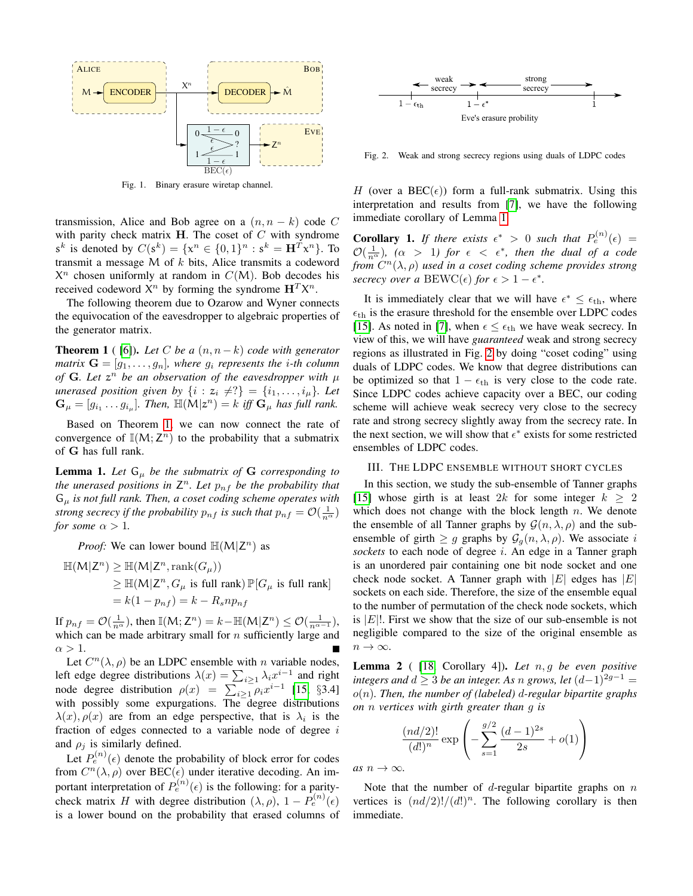

<span id="page-1-1"></span>Fig. 1. Binary erasure wiretap channel.

transmission, Alice and Bob agree on a  $(n, n - k)$  code C with parity check matrix  $H$ . The coset of  $C$  with syndrome  $s^k$  is denoted by  $C(s^k) = \{x^n \in \{0,1\}^n : s^k = H^T x^n\}$ . To transmit a message  $M$  of  $k$  bits, Alice transmits a codeword  $X<sup>n</sup>$  chosen uniformly at random in  $C(M)$ . Bob decodes his received codeword  $X^n$  by forming the syndrome  $\mathbf{H}^T X^n$ .

The following theorem due to Ozarow and Wyner connects the equivocation of the eavesdropper to algebraic properties of the generator matrix.

<span id="page-1-2"></span>**Theorem 1** ( [\[6\]](#page-4-13)). Let C be a  $(n, n-k)$  code with generator *matrix*  $\mathbf{G} = [g_1, \dots, g_n]$ , where  $g_i$  represents the *i*-th column of  $G$ *. Let*  $z^n$  be an observation of the eavesdropper with  $\mu$ *unerased position given by*  $\{i : z_i \neq ?\} = \{i_1, \ldots, i_\mu\}$ *. Let*  $\mathbf{G}_{\mu} = [g_{i_1} \dots g_{i_{\mu}}]$ . Then,  $\mathbb{H}(\mathbf{M} | \mathbf{z}^n) = k$  *iff*  $\mathbf{G}_{\mu}$  has full rank.

Based on Theorem [1,](#page-1-2) we can now connect the rate of convergence of  $\mathbb{I}(M; Z^n)$  to the probability that a submatrix of G has full rank.

<span id="page-1-3"></span>**Lemma 1.** Let  $G_{\mu}$  be the submatrix of  $G$  corresponding to *the unerased positions in* Z <sup>n</sup>*. Let* pnf *be the probability that* G<sup>µ</sup> *is not full rank. Then, a coset coding scheme operates with strong secrecy if the probability*  $p_{nf}$  *is such that*  $p_{nf} = \mathcal{O}(\frac{1}{n^{\alpha}})$ *for some*  $\alpha > 1$ *.* 

*Proof:* We can lower bound  $\mathbb{H}(M|Z^n)$  as

$$
\mathbb{H}(\mathsf{M}|\mathsf{Z}^n) \ge \mathbb{H}(\mathsf{M}|\mathsf{Z}^n, \text{rank}(G_{\mu}))
$$
  
\n
$$
\ge \mathbb{H}(\mathsf{M}|\mathsf{Z}^n, G_{\mu} \text{ is full rank}) \mathbb{P}[G_{\mu} \text{ is full rank}]
$$
  
\n
$$
= k(1 - p_{nf}) = k - R_s np_{nf}
$$

If  $p_{nf} = \mathcal{O}(\frac{1}{n^{\alpha}})$ , then  $\mathbb{I}(M; \mathbb{Z}^n) = k - \mathbb{H}(M|\mathbb{Z}^n) \leq \mathcal{O}(\frac{1}{n^{\alpha-1}})$ , which can be made arbitrary small for  $n$  sufficiently large and  $\alpha > 1$ .

Let  $C^n(\lambda, \rho)$  be an LDPC ensemble with *n* variable nodes, left edge degree distributions  $\lambda(x) = \sum_{i \geq 1} \lambda_i x^{i-1}$  and right node degree distribution  $\rho(x) = \sum_{i \geq 1} \rho_i x^{i-1}$  [\[15,](#page-4-10) §3.4] with possibly some expurgations. The degree distributions  $\lambda(x)$ ,  $\rho(x)$  are from an edge perspective, that is  $\lambda_i$  is the fraction of edges connected to a variable node of degree  $i$ and  $\rho_i$  is similarly defined.

Let  $P_e^{(n)}(\epsilon)$  denote the probability of block error for codes from  $C^n(\lambda, \rho)$  over BEC( $\epsilon$ ) under iterative decoding. An important interpretation of  $P_e^{(n)}(\epsilon)$  is the following: for a paritycheck matrix H with degree distribution  $(\lambda, \rho)$ ,  $1 - P_e^{(n)}(\epsilon)$ is a lower bound on the probability that erased columns of



<span id="page-1-4"></span>Fig. 2. Weak and strong secrecy regions using duals of LDPC codes

H (over a BEC( $\epsilon$ )) form a full-rank submatrix. Using this interpretation and results from [\[7\]](#page-4-6), we have the following immediate corollary of Lemma [1.](#page-1-3)

<span id="page-1-6"></span>**Corollary 1.** If there exists  $\epsilon^* > 0$  such that  $P_e^{(n)}(\epsilon) =$  $\mathcal{O}(\frac{1}{n^{\alpha}})$ ,  $(\alpha > 1)$  for  $\epsilon < \epsilon^*$ , then the dual of a code *from*  $C^n(\lambda, \rho)$  used in a coset coding scheme provides strong *secrecy over a* BEWC( $\epsilon$ ) *for*  $\epsilon > 1 - \epsilon^*$ .

It is immediately clear that we will have  $\epsilon^* \leq \epsilon_{\text{th}}$ , where  $\epsilon_{\text{th}}$  is the erasure threshold for the ensemble over LDPC codes [\[15\]](#page-4-10). As noted in [\[7\]](#page-4-6), when  $\epsilon \leq \epsilon_{\text{th}}$  we have weak secrecy. In view of this, we will have *guaranteed* weak and strong secrecy regions as illustrated in Fig. [2](#page-1-4) by doing "coset coding" using duals of LDPC codes. We know that degree distributions can be optimized so that  $1 - \epsilon_{\text{th}}$  is very close to the code rate. Since LDPC codes achieve capacity over a BEC, our coding scheme will achieve weak secrecy very close to the secrecy rate and strong secrecy slightly away from the secrecy rate. In the next section, we will show that  $\epsilon^*$  exists for some restricted ensembles of LDPC codes.

## <span id="page-1-0"></span>III. THE LDPC ENSEMBLE WITHOUT SHORT CYCLES

In this section, we study the sub-ensemble of Tanner graphs [\[15\]](#page-4-10) whose girth is at least 2k for some integer  $k \geq 2$ which does not change with the block length  $n$ . We denote the ensemble of all Tanner graphs by  $\mathcal{G}(n, \lambda, \rho)$  and the subensemble of girth  $\geq g$  graphs by  $\mathcal{G}_q(n,\lambda,\rho)$ . We associate i *sockets* to each node of degree i. An edge in a Tanner graph is an unordered pair containing one bit node socket and one check node socket. A Tanner graph with  $|E|$  edges has  $|E|$ sockets on each side. Therefore, the size of the ensemble equal to the number of permutation of the check node sockets, which is  $|E|!$ . First we show that the size of our sub-ensemble is not negligible compared to the size of the original ensemble as  $n\to\infty.$ 

<span id="page-1-5"></span>Lemma 2 ( [\[18,](#page-4-14) Corollary 4]). *Let* n, g *be even positive integers and*  $d > 3$  *be an integer. As n grows, let*  $(d-1)^{2g-1}$  = o(n)*. Then, the number of (labeled)* d*-regular bipartite graphs on* n *vertices with girth greater than* g *is*

$$
\frac{(nd/2)!}{(d!)^n} \exp\left(-\sum_{s=1}^{g/2} \frac{(d-1)^{2s}}{2s} + o(1)\right)
$$

 $as n \rightarrow \infty$ .

Note that the number of d-regular bipartite graphs on  $n$ vertices is  $(nd/2)!/(d!)^n$ . The following corollary is then immediate.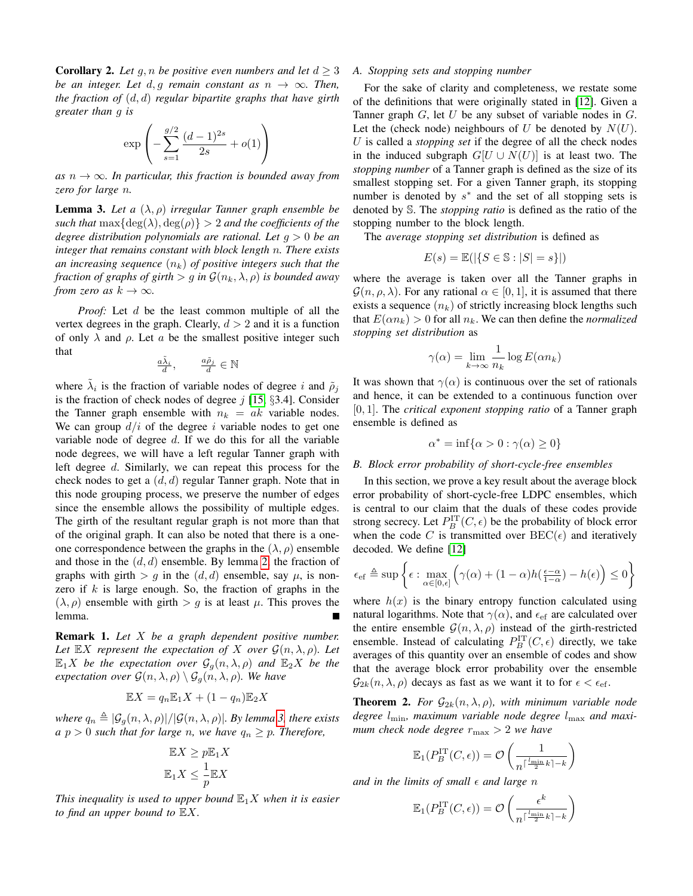**Corollary 2.** Let q, n be positive even numbers and let  $d > 3$ *be an integer. Let*  $d, g$  *remain constant as*  $n \rightarrow \infty$ *. Then, the fraction of* (d, d) *regular bipartite graphs that have girth greater than* g *is*

$$
\exp\left(-\sum_{s=1}^{g/2} \frac{(d-1)^{2s}}{2s} + o(1)\right)
$$

as  $n \to \infty$ *. In particular, this fraction is bounded away from zero for large* n*.*

<span id="page-2-0"></span>**Lemma 3.** Let a  $(\lambda, \rho)$  *irregular Tanner graph ensemble be such that*  $\max{\{\deg(\lambda), \deg(\rho)\}} > 2$  *and the coefficients of the degree distribution polynomials are rational. Let* g > 0 *be an integer that remains constant with block length* n*. There exists an increasing sequence*  $(n_k)$  *of positive integers such that the fraction of graphs of girth*  $> q$  *in*  $\mathcal{G}(n_k, \lambda, \rho)$  *is bounded away from zero as*  $k \to \infty$ *.* 

*Proof:* Let d be the least common multiple of all the vertex degrees in the graph. Clearly,  $d > 2$  and it is a function of only  $\lambda$  and  $\rho$ . Let a be the smallest positive integer such that

$$
\frac{a\tilde{\lambda}_i}{d}, \qquad \frac{a\tilde{\rho}_j}{d} \in \mathbb{N}
$$

where  $\tilde{\lambda}_i$  is the fraction of variable nodes of degree i and  $\tilde{\rho}_j$ is the fraction of check nodes of degree  $j$  [\[15,](#page-4-10) §3.4]. Consider the Tanner graph ensemble with  $n_k = ak$  variable nodes. We can group  $d/i$  of the degree i variable nodes to get one variable node of degree  $d$ . If we do this for all the variable node degrees, we will have a left regular Tanner graph with left degree d. Similarly, we can repeat this process for the check nodes to get a  $(d, d)$  regular Tanner graph. Note that in this node grouping process, we preserve the number of edges since the ensemble allows the possibility of multiple edges. The girth of the resultant regular graph is not more than that of the original graph. It can also be noted that there is a oneone correspondence between the graphs in the  $(\lambda, \rho)$  ensemble and those in the  $(d, d)$  ensemble. By lemma [2,](#page-1-5) the fraction of graphs with girth  $> q$  in the  $(d, d)$  ensemble, say  $\mu$ , is nonzero if  $k$  is large enough. So, the fraction of graphs in the  $(\lambda, \rho)$  ensemble with girth  $> q$  is at least  $\mu$ . This proves the lemma.

Remark 1. *Let* X *be a graph dependent positive number. Let*  $\mathbb{E}X$  *represent the expectation of* X *over*  $\mathcal{G}(n, \lambda, \rho)$ *. Let*  $\mathbb{E}_1 X$  *be the expectation over*  $\mathcal{G}_q(n, \lambda, \rho)$  *and*  $\mathbb{E}_2 X$  *be the expectation over*  $\mathcal{G}(n, \lambda, \rho) \setminus \mathcal{G}_g(n, \lambda, \rho)$ *. We have* 

$$
\mathbb{E}X = q_n \mathbb{E}_1 X + (1 - q_n) \mathbb{E}_2 X
$$

*where*  $q_n \triangleq |\mathcal{G}_q(n, \lambda, \rho)|/|\mathcal{G}(n, \lambda, \rho)|$ *. By lemma [3,](#page-2-0) there exists a*  $p > 0$  *such that for large n, we have*  $q_n \geq p$ *. Therefore,* 

$$
\mathbb{E}X \ge p\mathbb{E}_1X
$$

$$
\mathbb{E}_1X \le \frac{1}{p}\mathbb{E}X
$$

*This inequality is used to upper bound*  $\mathbb{E}_1 X$  *when it is easier to find an upper bound to* EX*.*

#### *A. Stopping sets and stopping number*

For the sake of clarity and completeness, we restate some of the definitions that were originally stated in [\[12\]](#page-4-9). Given a Tanner graph  $G$ , let  $U$  be any subset of variable nodes in  $G$ . Let the (check node) neighbours of U be denoted by  $N(U)$ . U is called a *stopping set* if the degree of all the check nodes in the induced subgraph  $G[U \cup N(U)]$  is at least two. The *stopping number* of a Tanner graph is defined as the size of its smallest stopping set. For a given Tanner graph, its stopping number is denoted by  $s^*$  and the set of all stopping sets is denoted by S. The *stopping ratio* is defined as the ratio of the stopping number to the block length.

The *average stopping set distribution* is defined as

$$
E(s) = \mathbb{E}(|\{S \in \mathbb{S} : |S| = s\}|)
$$

where the average is taken over all the Tanner graphs in  $\mathcal{G}(n, \rho, \lambda)$ . For any rational  $\alpha \in [0, 1]$ , it is assumed that there exists a sequence  $(n_k)$  of strictly increasing block lengths such that  $E(\alpha n_k) > 0$  for all  $n_k$ . We can then define the *normalized stopping set distribution* as

$$
\gamma(\alpha) = \lim_{k \to \infty} \frac{1}{n_k} \log E(\alpha n_k)
$$

It was shown that  $\gamma(\alpha)$  is continuous over the set of rationals and hence, it can be extended to a continuous function over [0, 1]. The *critical exponent stopping ratio* of a Tanner graph ensemble is defined as

$$
\alpha^* = \inf \{ \alpha > 0 : \gamma(\alpha) \ge 0 \}
$$

#### *B. Block error probability of short-cycle-free ensembles*

In this section, we prove a key result about the average block error probability of short-cycle-free LDPC ensembles, which is central to our claim that the duals of these codes provide strong secrecy. Let  $P_B^{\text{IT}}(C, \epsilon)$  be the probability of block error when the code C is transmitted over  $\text{BEC}(\epsilon)$  and iteratively decoded. We define [\[12\]](#page-4-9)

$$
\epsilon_{\text{ef}} \triangleq \sup \left\{ \epsilon : \max_{\alpha \in [0,\epsilon]} \left( \gamma(\alpha) + (1-\alpha)h(\frac{\epsilon - \alpha}{1-\alpha}) - h(\epsilon) \right) \leq 0 \right\}
$$

where  $h(x)$  is the binary entropy function calculated using natural logarithms. Note that  $\gamma(\alpha)$ , and  $\epsilon_{\rm ef}$  are calculated over the entire ensemble  $\mathcal{G}(n, \lambda, \rho)$  instead of the girth-restricted ensemble. Instead of calculating  $P_B^{\text{IT}}(C, \epsilon)$  directly, we take averages of this quantity over an ensemble of codes and show that the average block error probability over the ensemble  $\mathcal{G}_{2k}(n, \lambda, \rho)$  decays as fast as we want it to for  $\epsilon < \epsilon_{\rm ef}$ .

**Theorem 2.** *For*  $\mathcal{G}_{2k}(n, \lambda, \rho)$ *, with minimum variable node* degree  $l_{\min}$ , maximum variable node degree  $l_{\max}$  and maxi*mum check node degree*  $r_{\text{max}} > 2$  *we have* 

$$
\mathbb{E}_1(P_B^{\mathrm{IT}}(C,\epsilon)) = \mathcal{O}\left(\frac{1}{n^{\lceil \frac{\ell_{\mathrm{min}}}{2}k \rceil - k}}\right)
$$

*and in the limits of small*  $\epsilon$  *and large*  $n$ 

$$
\mathbb{E}_1(P_B^{\mathrm{IT}}(C,\epsilon)) = \mathcal{O}\left(\frac{\epsilon^k}{n^{\lceil \frac{l_{\mathrm{min}}}{2}k \rceil - k}}\right)
$$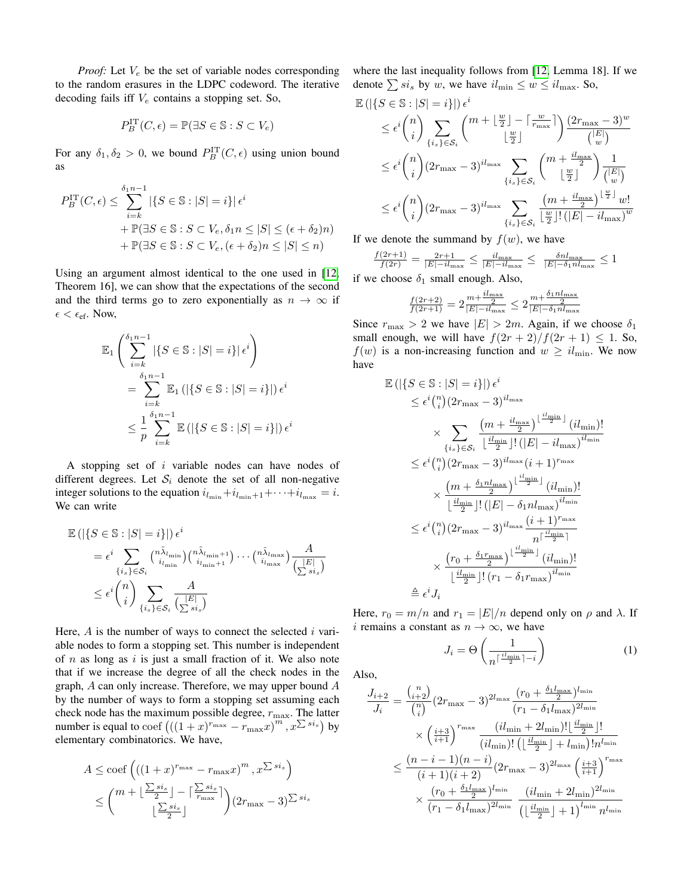*Proof:* Let  $V_e$  be the set of variable nodes corresponding to the random erasures in the LDPC codeword. The iterative decoding fails iff  $V_e$  contains a stopping set. So,

$$
P_B^{\mathrm{IT}}(C,\epsilon) = \mathbb{P}(\exists S \in \mathbb{S} : S \subset V_e)
$$

For any  $\delta_1, \delta_2 > 0$ , we bound  $P_B^{\text{IT}}(C, \epsilon)$  using union bound as

$$
P_B^{\text{IT}}(C,\epsilon) \le \sum_{i=k}^{\delta_1 n - 1} |\{S \in \mathbb{S} : |S| = i\}| \epsilon^i
$$
  
+  $\mathbb{P}(\exists S \in \mathbb{S} : S \subset V_{\epsilon}, \delta_1 n \le |S| \le (\epsilon + \delta_2)n)$   
+  $\mathbb{P}(\exists S \in \mathbb{S} : S \subset V_{\epsilon}, (\epsilon + \delta_2)n \le |S| \le n)$ 

Using an argument almost identical to the one used in [\[12,](#page-4-9) Theorem 16], we can show that the expectations of the second and the third terms go to zero exponentially as  $n \to \infty$  if  $\epsilon < \epsilon_{\rm ef}$ . Now,

$$
\mathbb{E}_{1}\left(\sum_{i=k}^{\delta_{1}n-1}|\{S\in\mathbb{S}:|S|=i\}|\epsilon^{i}\right)
$$

$$
=\sum_{i=k}^{\delta_{1}n-1}\mathbb{E}_{1}\left(|\{S\in\mathbb{S}:|S|=i\}|\right)\epsilon^{i}
$$

$$
\leq\frac{1}{p}\sum_{i=k}^{\delta_{1}n-1}\mathbb{E}\left(|\{S\in\mathbb{S}:|S|=i\}|\right)\epsilon^{i}
$$

A stopping set of  $i$  variable nodes can have nodes of different degrees. Let  $S_i$  denote the set of all non-negative integer solutions to the equation  $i_{l_{\min}}+i_{l_{\min}+1}+\cdots+i_{l_{\max}}=i$ . We can write

$$
\mathbb{E}\left(\left|\left\{S \in \mathbb{S} : |S| = i\right\}\right|\right) \epsilon^{i}
$$
\n
$$
= \epsilon^{i} \sum_{\{i_s\} \in \mathcal{S}_i} {n \tilde{\lambda}_{i_{\min}} \choose i_{i_{\min}}} {n \tilde{\lambda}_{i_{\min}+1}} \cdots {n \tilde{\lambda}_{i_{\max}}} \overline{\lambda}_{\left(\frac{|E|}{\sum s_{i_s}}\right)}
$$
\n
$$
\leq \epsilon^{i} {n \choose i} \sum_{\{i_s\} \in \mathcal{S}_i} \frac{A}{\left(\sum s_{i_s}\right)}
$$

Here,  $A$  is the number of ways to connect the selected i variable nodes to form a stopping set. This number is independent of  $n$  as long as  $i$  is just a small fraction of it. We also note that if we increase the degree of all the check nodes in the graph, A can only increase. Therefore, we may upper bound A by the number of ways to form a stopping set assuming each check node has the maximum possible degree,  $r_{\text{max}}$ . The latter number is equal to coef  $(((1 + x)^{r_{\text{max}}} - r_{\text{max}}x)^m, x^{\sum s i_s})$  by elementary combinatorics. We have,

$$
A \le \operatorname{coef}\left(((1+x)^{r_{\max}} - r_{\max}x)^m, x^{\sum s i_s}\right)
$$
  

$$
\le \binom{m + \lfloor \frac{\sum s i_s}{2} \rfloor - \lceil \frac{\sum s i_s}{r_{\max}} \rceil}{\lfloor \frac{\sum s i_s}{2} \rfloor} (2r_{\max} - 3)^{\sum s i_s}
$$

where the last inequality follows from [\[12,](#page-4-9) Lemma 18]. If we denote  $\sum s_i$  by w, we have  $il_{\min} \leq w \leq il_{\max}$ . So,

$$
\mathbb{E}\left(\left|\left\{S \in \mathbb{S} : |S| = i\right\}\right|\right) \epsilon^{i}
$$
\n
$$
\leq \epsilon^{i} {n \choose i} \sum_{\{i_s\} \in S_i} {m + \left\lfloor \frac{w}{2} \right\rfloor - \left\lceil \frac{w}{r_{\text{max}}} \right\rceil} \frac{(2r_{\text{max}} - 3)^w}{\binom{|E|}{w}}
$$
\n
$$
\leq \epsilon^{i} {n \choose i} (2r_{\text{max}} - 3)^{il_{\text{max}}} \sum_{\{i_s\} \in S_i} {m + \frac{il_{\text{max}}}{2} \choose \left\lfloor \frac{w}{2} \right\rfloor} \frac{1}{\binom{|E|}{w}}
$$
\n
$$
\leq \epsilon^{i} {n \choose i} (2r_{\text{max}} - 3)^{il_{\text{max}}} \sum_{\{i_s\} \in S_i} \frac{(m + \frac{il_{\text{max}}}{2})^{\left\lfloor \frac{w}{2} \right\rfloor} w!}{\left\lfloor \frac{w}{2} \right\rfloor! (|E| - il_{\text{max}})^w}
$$

If we denote the summand by  $f(w)$ , we have

$$
\frac{f(2r+1)}{f(2r)} = \frac{2r+1}{|E| - i l_{\text{max}}} \le \frac{i l_{\text{max}}}{|E| - i l_{\text{max}}} \le \frac{\delta n l_{\text{max}}}{|E| - \delta_1 n l_{\text{max}}} \le 1
$$

if we choose  $\delta_1$  small enough. Also,

$$
\frac{f(2r+2)}{f(2r+1)} = 2\frac{m + \frac{i l_{\max}}{2}}{|E| - i l_{\max}} \le 2\frac{m + \frac{\delta_1 n l_{\max}}{2}}{|E| - \delta_1 n l_{\max}}
$$

Since  $r_{\text{max}} > 2$  we have  $|E| > 2m$ . Again, if we choose  $\delta_1$ small enough, we will have  $f(2r + 2)/f(2r + 1) \le 1$ . So,  $f(w)$  is a non-increasing function and  $w \geq il_{\min}$ . We now have

$$
\mathbb{E}\left(\left|\left\{S \in \mathbb{S} : |S| = i\right\}\right|\right) \epsilon^{i}
$$
\n
$$
\leq \epsilon^{i} \binom{n}{i} (2r_{\max} - 3)^{il_{\max}}
$$
\n
$$
\times \sum_{\{i_s\} \in \mathcal{S}_i} \frac{\left(m + \frac{il_{\max}}{2}\right)^{\lfloor \frac{il_{\min}}{2} \rfloor} (il_{\min})!}{\lfloor \frac{il_{\min}}{2} \rfloor! \left(\left| E \right| - il_{\max} \right)^{il_{\min}}}
$$
\n
$$
\leq \epsilon^{i} \binom{n}{i} (2r_{\max} - 3)^{il_{\max}} (i + 1)^{r_{\max}}
$$
\n
$$
\times \frac{\left(m + \frac{\delta_1 n l_{\max}}{2}\right)^{\lfloor \frac{il_{\min}}{2} \rfloor} (il_{\min})!}{\lfloor \frac{il_{\min}}{2} \rfloor! \left(\left| E \right| - \delta_1 n l_{\max} \right)^{il_{\min}}}
$$
\n
$$
\leq \epsilon^{i} \binom{n}{i} (2r_{\max} - 3)^{il_{\max}} \frac{\left(i + 1\right)^{r_{\max}}}{n^{\lceil \frac{il_{\min}}{2} \rceil}}
$$
\n
$$
\times \frac{\left(r_0 + \frac{\delta_1 r_{\max}}{2}\right)^{\lfloor \frac{il_{\min}}{2} \rfloor} (il_{\min})!}{\lfloor \frac{il_{\min}}{2} \rfloor! \left(r_1 - \delta_1 r_{\max} \right)^{il_{\min}}}
$$
\n
$$
\stackrel{\triangle}{=} \epsilon^{i} J_{i}
$$

Here,  $r_0 = m/n$  and  $r_1 = |E|/n$  depend only on  $\rho$  and  $\lambda$ . If i remains a constant as  $n \to \infty$ , we have

$$
J_i = \Theta\left(\frac{1}{n^{\lceil \frac{i \ln \ln n}{2} \rceil - i}}\right) \tag{1}
$$

Also,

$$
\frac{J_{i+2}}{J_i} = \frac{{n \choose i+2}}{\binom{n}{i}} (2r_{\max} - 3)^{2l_{\max}} \frac{(r_0 + \frac{\delta_1 l_{\max}}{2})^{l_{\min}}}{(r_1 - \delta_1 l_{\max})^{2l_{\min}}} \times \left(\frac{i+3}{i+1}\right)^{r_{\max}} \frac{(il_{\min} + 2l_{\min})! \left\lfloor \frac{il_{\min}}{2} \right\rfloor!}{(il_{\min})! \left(\left\lfloor \frac{il_{\min}}{2} \right\rfloor + l_{\min}\right)! n^{l_{\min}}} \times \frac{(n-i-1)(n-i)}{(i+1)(i+2)} (2r_{\max} - 3)^{2l_{\max}} \left(\frac{i+3}{i+1}\right)^{r_{\max}} \times \frac{(r_0 + \frac{\delta_1 l_{\max}}{2})^{l_{\min}}}{(r_1 - \delta_1 l_{\max})^{2l_{\min}}} \frac{(il_{\min} + 2l_{\min})^{2l_{\min}}}{\left(\left\lfloor \frac{il_{\min}}{2} \right\rfloor + 1\right)^{l_{\min}} n^{l_{\min}}}
$$